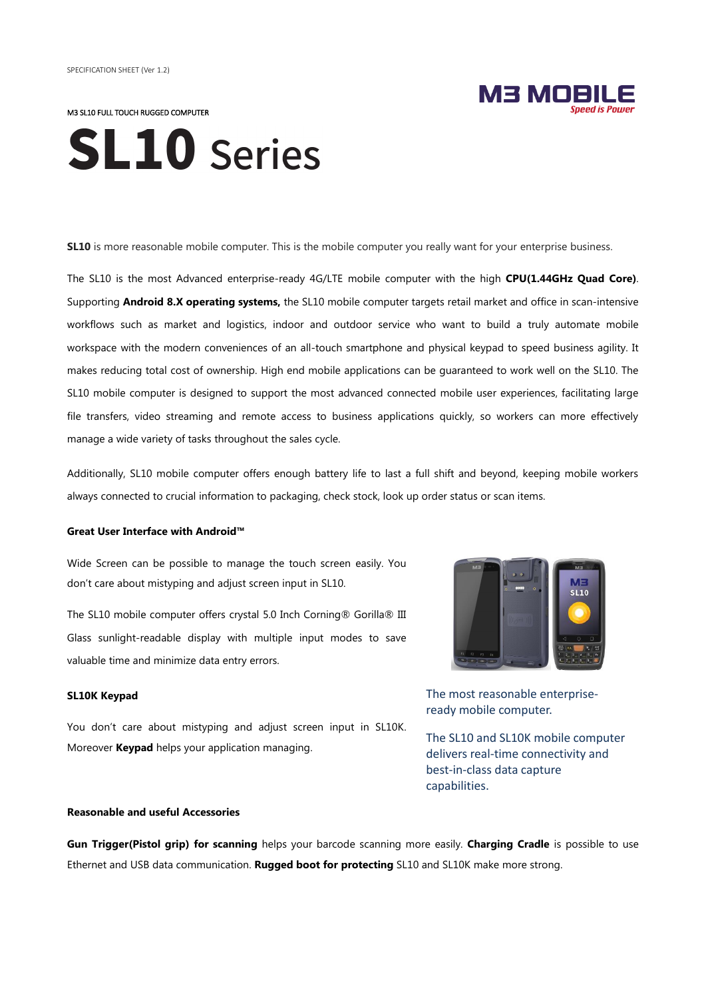M3 SL10 FULL TOUCH RUGGED COMPUTER

# **SL10** Series

**SL10** is more reasonable mobile computer. This is the mobile computer you really want for your enterprise business.

The SL10 is the most Advanced enterprise-ready 4G/LTE mobile computer with the high **CPU(1.44GHz Quad Core)**. Supporting **Android 8.X operating systems,** the SL10 mobile computer targets retail market and office in scan-intensive workflows such as market and logistics, indoor and outdoor service who want to build a truly automate mobile workspace with the modern conveniences of an all-touch smartphone and physical keypad to speed business agility. It makes reducing total cost of ownership. High end mobile applications can be guaranteed to work well on the SL10. The SL10 mobile computer is designed to support the most advanced connected mobile user experiences, facilitating large file transfers, video streaming and remote access to business applications quickly, so workers can more effectively manage a wide variety of tasks throughout the sales cycle.

Additionally, SL10 mobile computer offers enough battery life to last a full shift and beyond, keeping mobile workers always connected to crucial information to packaging, check stock, look up order status or scan items.

#### **Great User Interface with Android™**

Wide Screen can be possible to manage the touch screen easily. You don't care about mistyping and adjust screen input in SL10.

The SL10 mobile computer offers crystal 5.0 Inch Corning® Gorilla® III Glass sunlight-readable display with multiple input modes to save valuable time and minimize data entry errors.

#### **SL10K Keypad**

You don't care about mistyping and adjust screen input in SL10K. Moreover **Keypad** helps your application managing.

#### **Reasonable and useful Accessories**



M3 MOE

The most reasonable enterpriseready mobile computer.

The SL10 and SL10K mobile computer delivers real-time connectivity and best-in-class data capture capabilities.

**Gun Trigger(Pistol grip) for scanning** helps your barcode scanning more easily. **Charging Cradle** is possible to use Ethernet and USB data communication. **Rugged boot for protecting** SL10 and SL10K make more strong.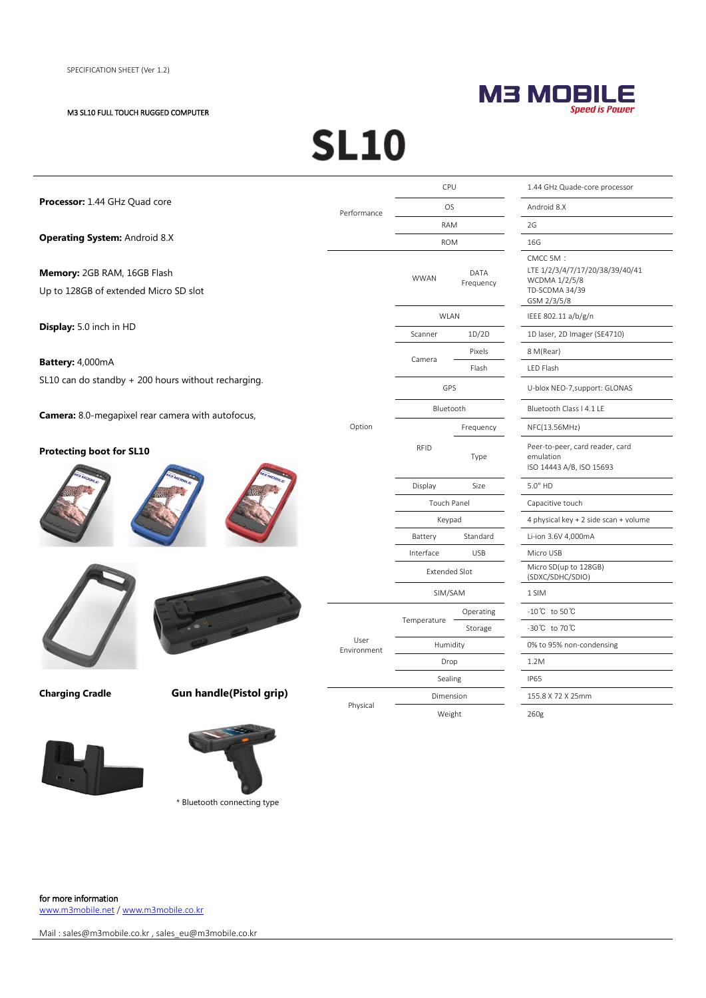#### M3 SL10 FULL TOUCH RUGGED COMPUTER

### M3 MOBILE

### **SL10**

| Processor: 1.44 GHz Quad core                                           |                                |                      | CPU         |                                                                          | 1.44 GHz Quade-core processor                                                                 |
|-------------------------------------------------------------------------|--------------------------------|----------------------|-------------|--------------------------------------------------------------------------|-----------------------------------------------------------------------------------------------|
|                                                                         |                                | Performance          | <b>OS</b>   |                                                                          | Android 8.X                                                                                   |
| <b>Operating System: Android 8.X</b>                                    |                                |                      | <b>RAM</b>  |                                                                          | 2G                                                                                            |
|                                                                         |                                |                      | <b>ROM</b>  |                                                                          | 16G                                                                                           |
| Memory: 2GB RAM, 16GB Flash<br>Up to 128GB of extended Micro SD slot    |                                |                      | <b>WWAN</b> | DATA<br>Frequency                                                        | CMCC 5M:<br>LTE 1/2/3/4/7/17/20/38/39/40/41<br>WCDMA 1/2/5/8<br>TD-SCDMA 34/39<br>GSM 2/3/5/8 |
| Display: 5.0 inch in HD                                                 |                                |                      | <b>WLAN</b> |                                                                          | IEEE 802.11 a/b/g/n                                                                           |
|                                                                         |                                |                      | Scanner     | 1D/2D                                                                    | 1D laser, 2D Imager (SE4710)                                                                  |
|                                                                         |                                |                      | Camera      | Pixels                                                                   | 8 M(Rear)                                                                                     |
| Battery: 4,000mA<br>SL10 can do standby + 200 hours without recharging. |                                |                      |             | Flash                                                                    | LED Flash                                                                                     |
|                                                                         |                                |                      | GPS         |                                                                          | U-blox NEO-7, support: GLONAS                                                                 |
| <b>Camera:</b> 8.0-megapixel rear camera with autofocus,                |                                | Option               | Bluetooth   |                                                                          | Bluetooth Class   4.1 LE                                                                      |
|                                                                         |                                |                      |             | Frequency                                                                | NFC(13.56MHz)                                                                                 |
| <b>Protecting boot for SL10</b>                                         |                                | <b>RFID</b>          | Type        | Peer-to-peer, card reader, card<br>emulation<br>ISO 14443 A/B, ISO 15693 |                                                                                               |
|                                                                         |                                | Display              | Size        | 5.0" HD                                                                  |                                                                                               |
|                                                                         |                                | Touch Panel          |             | Capacitive touch                                                         |                                                                                               |
|                                                                         |                                | Keypad               |             | 4 physical key + 2 side scan + volume                                    |                                                                                               |
|                                                                         |                                | Battery              | Standard    | Li-ion 3.6V 4,000mA                                                      |                                                                                               |
|                                                                         |                                | Interface            | <b>USB</b>  | Micro USB                                                                |                                                                                               |
|                                                                         |                                | <b>Extended Slot</b> |             | Micro SD(up to 128GB)<br>(SDXC/SDHC/SDIO)                                |                                                                                               |
|                                                                         |                                | SIM/SAM              |             | 1 SIM                                                                    |                                                                                               |
|                                                                         |                                | User<br>Environment  |             | Operating                                                                | -10℃ to 50℃                                                                                   |
|                                                                         |                                |                      | Temperature | Storage                                                                  | -30℃ to 70℃                                                                                   |
|                                                                         |                                |                      | Humidity    |                                                                          | 0% to 95% non-condensing                                                                      |
|                                                                         |                                |                      | Drop        |                                                                          | 1.2M                                                                                          |
|                                                                         |                                |                      | Sealing     |                                                                          | <b>IP65</b>                                                                                   |
| <b>Charging Cradle</b>                                                  | <b>Gun handle(Pistol grip)</b> | Physical             | Dimension   |                                                                          | 155.8 X 72 X 25mm                                                                             |
|                                                                         |                                |                      | Weight      |                                                                          | 260g                                                                                          |
|                                                                         |                                |                      |             |                                                                          |                                                                                               |





\* Bluetooth connecting type

for more information [www.m3mobile.net](http://www.m3mobile.net/) [/ www.m3mobile.co.kr](http://www.m3mobile.co.kr/)

Mail [: sales@m3mobile.co.kr](mailto:sales@m3mobile.co.kr) , sales\_eu@m3mobile.co.kr